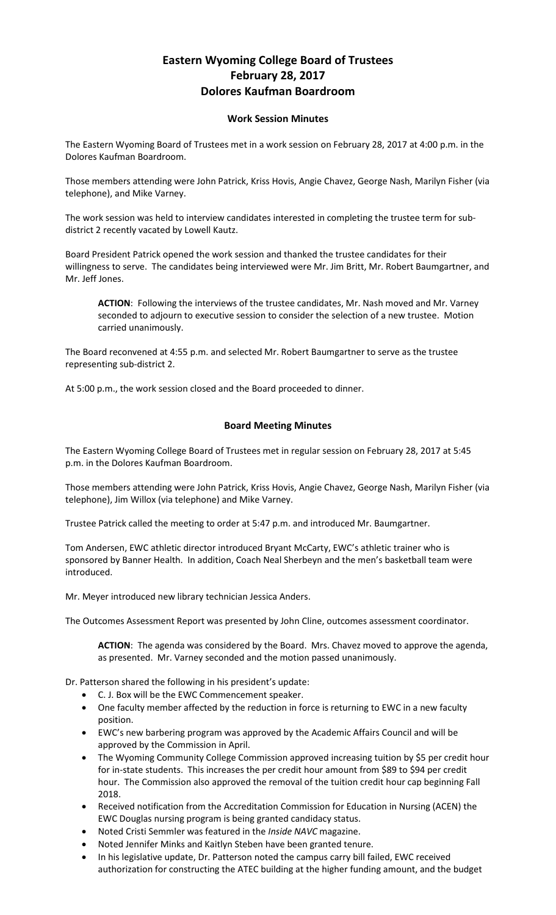## **Eastern Wyoming College Board of Trustees February 28, 2017 Dolores Kaufman Boardroom**

## **Work Session Minutes**

The Eastern Wyoming Board of Trustees met in a work session on February 28, 2017 at 4:00 p.m. in the Dolores Kaufman Boardroom.

Those members attending were John Patrick, Kriss Hovis, Angie Chavez, George Nash, Marilyn Fisher (via telephone), and Mike Varney.

The work session was held to interview candidates interested in completing the trustee term for subdistrict 2 recently vacated by Lowell Kautz.

Board President Patrick opened the work session and thanked the trustee candidates for their willingness to serve. The candidates being interviewed were Mr. Jim Britt, Mr. Robert Baumgartner, and Mr. Jeff Jones.

**ACTION**: Following the interviews of the trustee candidates, Mr. Nash moved and Mr. Varney seconded to adjourn to executive session to consider the selection of a new trustee. Motion carried unanimously.

The Board reconvened at 4:55 p.m. and selected Mr. Robert Baumgartner to serve as the trustee representing sub-district 2.

At 5:00 p.m., the work session closed and the Board proceeded to dinner.

## **Board Meeting Minutes**

The Eastern Wyoming College Board of Trustees met in regular session on February 28, 2017 at 5:45 p.m. in the Dolores Kaufman Boardroom.

Those members attending were John Patrick, Kriss Hovis, Angie Chavez, George Nash, Marilyn Fisher (via telephone), Jim Willox (via telephone) and Mike Varney.

Trustee Patrick called the meeting to order at 5:47 p.m. and introduced Mr. Baumgartner.

Tom Andersen, EWC athletic director introduced Bryant McCarty, EWC's athletic trainer who is sponsored by Banner Health. In addition, Coach Neal Sherbeyn and the men's basketball team were introduced.

Mr. Meyer introduced new library technician Jessica Anders.

The Outcomes Assessment Report was presented by John Cline, outcomes assessment coordinator.

**ACTION**: The agenda was considered by the Board. Mrs. Chavez moved to approve the agenda, as presented. Mr. Varney seconded and the motion passed unanimously.

Dr. Patterson shared the following in his president's update:

- C. J. Box will be the EWC Commencement speaker.
- One faculty member affected by the reduction in force is returning to EWC in a new faculty position.
- EWC's new barbering program was approved by the Academic Affairs Council and will be approved by the Commission in April.
- The Wyoming Community College Commission approved increasing tuition by \$5 per credit hour for in-state students. This increases the per credit hour amount from \$89 to \$94 per credit hour. The Commission also approved the removal of the tuition credit hour cap beginning Fall 2018.
- Received notification from the Accreditation Commission for Education in Nursing (ACEN) the EWC Douglas nursing program is being granted candidacy status.
- Noted Cristi Semmler was featured in the *Inside NAVC* magazine.
- Noted Jennifer Minks and Kaitlyn Steben have been granted tenure.
- In his legislative update, Dr. Patterson noted the campus carry bill failed, EWC received authorization for constructing the ATEC building at the higher funding amount, and the budget